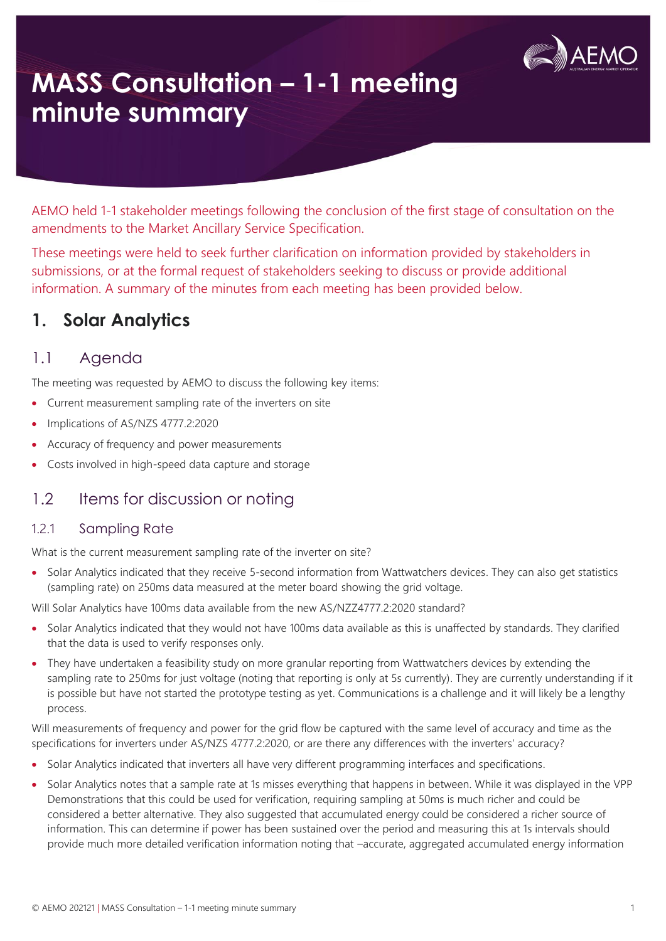

# **MASS Consultation – 1-1 meeting minute summary**

AEMO held 1-1 stakeholder meetings following the conclusion of the first stage of consultation on the amendments to the Market Ancillary Service Specification.

These meetings were held to seek further clarification on information provided by stakeholders in submissions, or at the formal request of stakeholders seeking to discuss or provide additional information. A summary of the minutes from each meeting has been provided below.

## **1. Solar Analytics**

### 1.1 Agenda

The meeting was requested by AEMO to discuss the following key items:

- Current measurement sampling rate of the inverters on site
- Implications of AS/NZS 4777.2:2020
- Accuracy of frequency and power measurements
- Costs involved in high-speed data capture and storage

### 1.2 Items for discussion or noting

#### 1.2.1 Sampling Rate

What is the current measurement sampling rate of the inverter on site?

• Solar Analytics indicated that they receive 5-second information from Wattwatchers devices. They can also get statistics (sampling rate) on 250ms data measured at the meter board showing the grid voltage.

Will Solar Analytics have 100ms data available from the new AS/NZZ4777.2:2020 standard?

- Solar Analytics indicated that they would not have 100ms data available as this is unaffected by standards. They clarified that the data is used to verify responses only.
- They have undertaken a feasibility study on more granular reporting from Wattwatchers devices by extending the sampling rate to 250ms for just voltage (noting that reporting is only at 5s currently). They are currently understanding if it is possible but have not started the prototype testing as yet. Communications is a challenge and it will likely be a lengthy process.

Will measurements of frequency and power for the grid flow be captured with the same level of accuracy and time as the specifications for inverters under AS/NZS 4777.2:2020, or are there any differences with the inverters' accuracy?

- Solar Analytics indicated that inverters all have very different programming interfaces and specifications.
- Solar Analytics notes that a sample rate at 1s misses everything that happens in between. While it was displayed in the VPP Demonstrations that this could be used for verification, requiring sampling at 50ms is much richer and could be considered a better alternative. They also suggested that accumulated energy could be considered a richer source of information. This can determine if power has been sustained over the period and measuring this at 1s intervals should provide much more detailed verification information noting that –accurate, aggregated accumulated energy information